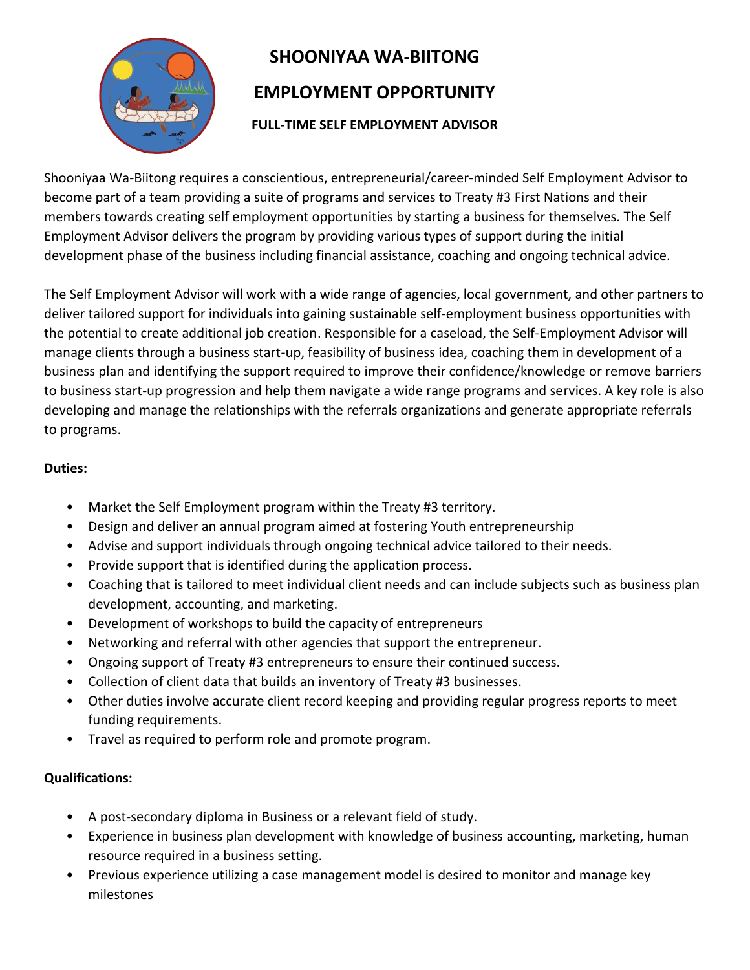

## **SHOONIYAA WA-BIITONG EMPLOYMENT OPPORTUNITY**

## **FULL-TIME SELF EMPLOYMENT ADVISOR**

Shooniyaa Wa-Biitong requires a conscientious, entrepreneurial/career-minded Self Employment Advisor to become part of a team providing a suite of programs and services to Treaty #3 First Nations and their members towards creating self employment opportunities by starting a business for themselves. The Self Employment Advisor delivers the program by providing various types of support during the initial development phase of the business including financial assistance, coaching and ongoing technical advice.

The Self Employment Advisor will work with a wide range of agencies, local government, and other partners to deliver tailored support for individuals into gaining sustainable self-employment business opportunities with the potential to create additional job creation. Responsible for a caseload, the Self-Employment Advisor will manage clients through a business start-up, feasibility of business idea, coaching them in development of a business plan and identifying the support required to improve their confidence/knowledge or remove barriers to business start-up progression and help them navigate a wide range programs and services. A key role is also developing and manage the relationships with the referrals organizations and generate appropriate referrals to programs.

## **Duties:**

- Market the Self Employment program within the Treaty #3 territory.
- Design and deliver an annual program aimed at fostering Youth entrepreneurship
- Advise and support individuals through ongoing technical advice tailored to their needs.
- Provide support that is identified during the application process.
- Coaching that is tailored to meet individual client needs and can include subjects such as business plan development, accounting, and marketing.
- Development of workshops to build the capacity of entrepreneurs
- Networking and referral with other agencies that support the entrepreneur.
- Ongoing support of Treaty #3 entrepreneurs to ensure their continued success.
- Collection of client data that builds an inventory of Treaty #3 businesses.
- Other duties involve accurate client record keeping and providing regular progress reports to meet funding requirements.
- Travel as required to perform role and promote program.

## **Qualifications:**

- A post-secondary diploma in Business or a relevant field of study.
- Experience in business plan development with knowledge of business accounting, marketing, human resource required in a business setting.
- Previous experience utilizing a case management model is desired to monitor and manage key milestones